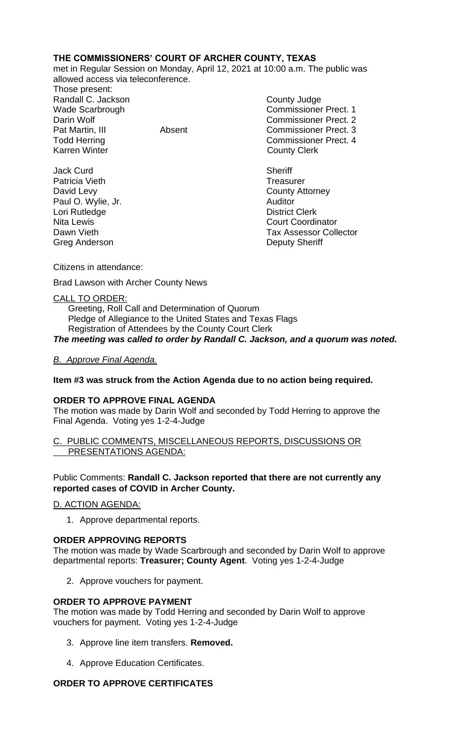## **THE COMMISSIONERS' COURT OF ARCHER COUNTY, TEXAS**

met in Regular Session on Monday, April 12, 2021 at 10:00 a.m. The public was allowed access via teleconference.

Those present: Randall C. Jackson **County Judge County Judge** Karren Winter **County Clerk** 

Jack Curd **Sheriff** Patricia Vieth Treasurer David Levy **County Attorney** Paul O. Wylie, Jr. **Auditor** Lori Rutledge **District Clerk** Greg Anderson **Deputy Sheriff** 

Wade Scarbrough Commissioner Prect. 1 Darin Wolf Commissioner Prect. 2 Pat Martin, III Absent Commissioner Prect. 3 Todd Herring Todd Herring Commissioner Prect. 4

Nita Lewis **Court Coordinator** Court Coordinator Dawn Vieth **Tax Assessor Collector** 

Citizens in attendance:

Brad Lawson with Archer County News

## CALL TO ORDER:

 Greeting, Roll Call and Determination of Quorum Pledge of Allegiance to the United States and Texas Flags Registration of Attendees by the County Court Clerk *The meeting was called to order by Randall C. Jackson, and a quorum was noted.*

# *B. Approve Final Agenda.*

## **Item #3 was struck from the Action Agenda due to no action being required.**

## **ORDER TO APPROVE FINAL AGENDA**

The motion was made by Darin Wolf and seconded by Todd Herring to approve the Final Agenda. Voting yes 1-2-4-Judge

#### C. PUBLIC COMMENTS, MISCELLANEOUS REPORTS, DISCUSSIONS OR PRESENTATIONS AGENDA:

## Public Comments: **Randall C. Jackson reported that there are not currently any reported cases of COVID in Archer County.**

D. ACTION AGENDA:

1. Approve departmental reports.

## **ORDER APPROVING REPORTS**

The motion was made by Wade Scarbrough and seconded by Darin Wolf to approve departmental reports: **Treasurer; County Agent**. Voting yes 1-2-4-Judge

2. Approve vouchers for payment.

## **ORDER TO APPROVE PAYMENT**

The motion was made by Todd Herring and seconded by Darin Wolf to approve vouchers for payment. Voting yes 1-2-4-Judge

- 3. Approve line item transfers. **Removed.**
- 4. Approve Education Certificates.

## **ORDER TO APPROVE CERTIFICATES**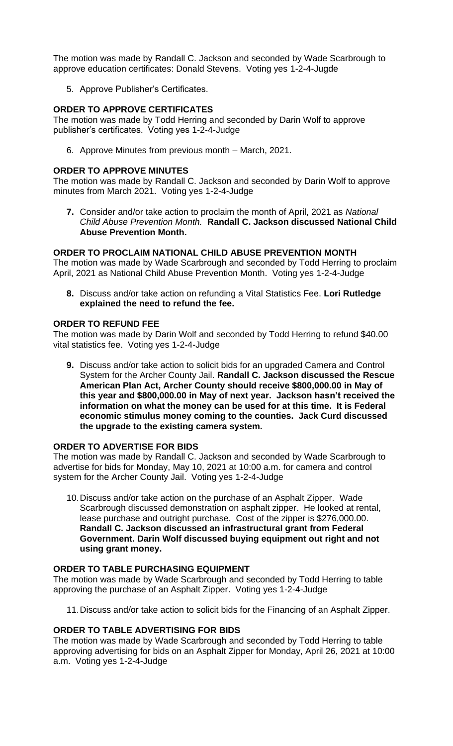The motion was made by Randall C. Jackson and seconded by Wade Scarbrough to approve education certificates: Donald Stevens. Voting yes 1-2-4-Jugde

5. Approve Publisher's Certificates.

#### **ORDER TO APPROVE CERTIFICATES**

The motion was made by Todd Herring and seconded by Darin Wolf to approve publisher's certificates. Voting yes 1-2-4-Judge

6. Approve Minutes from previous month – March, 2021.

#### **ORDER TO APPROVE MINUTES**

The motion was made by Randall C. Jackson and seconded by Darin Wolf to approve minutes from March 2021. Voting yes 1-2-4-Judge

**7.** Consider and/or take action to proclaim the month of April, 2021 as *National Child Abuse Prevention Month.* **Randall C. Jackson discussed National Child Abuse Prevention Month.**

## **ORDER TO PROCLAIM NATIONAL CHILD ABUSE PREVENTION MONTH**

The motion was made by Wade Scarbrough and seconded by Todd Herring to proclaim April, 2021 as National Child Abuse Prevention Month. Voting yes 1-2-4-Judge

**8.** Discuss and/or take action on refunding a Vital Statistics Fee. **Lori Rutledge explained the need to refund the fee.**

#### **ORDER TO REFUND FEE**

The motion was made by Darin Wolf and seconded by Todd Herring to refund \$40.00 vital statistics fee. Voting yes 1-2-4-Judge

**9.** Discuss and/or take action to solicit bids for an upgraded Camera and Control System for the Archer County Jail. **Randall C. Jackson discussed the Rescue American Plan Act, Archer County should receive \$800,000.00 in May of this year and \$800,000.00 in May of next year. Jackson hasn't received the information on what the money can be used for at this time. It is Federal economic stimulus money coming to the counties. Jack Curd discussed the upgrade to the existing camera system.** 

## **ORDER TO ADVERTISE FOR BIDS**

The motion was made by Randall C. Jackson and seconded by Wade Scarbrough to advertise for bids for Monday, May 10, 2021 at 10:00 a.m. for camera and control system for the Archer County Jail. Voting yes 1-2-4-Judge

10.Discuss and/or take action on the purchase of an Asphalt Zipper. Wade Scarbrough discussed demonstration on asphalt zipper. He looked at rental, lease purchase and outright purchase. Cost of the zipper is \$276,000.00. **Randall C. Jackson discussed an infrastructural grant from Federal Government. Darin Wolf discussed buying equipment out right and not using grant money.**

#### **ORDER TO TABLE PURCHASING EQUIPMENT**

The motion was made by Wade Scarbrough and seconded by Todd Herring to table approving the purchase of an Asphalt Zipper. Voting yes 1-2-4-Judge

11.Discuss and/or take action to solicit bids for the Financing of an Asphalt Zipper.

#### **ORDER TO TABLE ADVERTISING FOR BIDS**

The motion was made by Wade Scarbrough and seconded by Todd Herring to table approving advertising for bids on an Asphalt Zipper for Monday, April 26, 2021 at 10:00 a.m. Voting yes 1-2-4-Judge